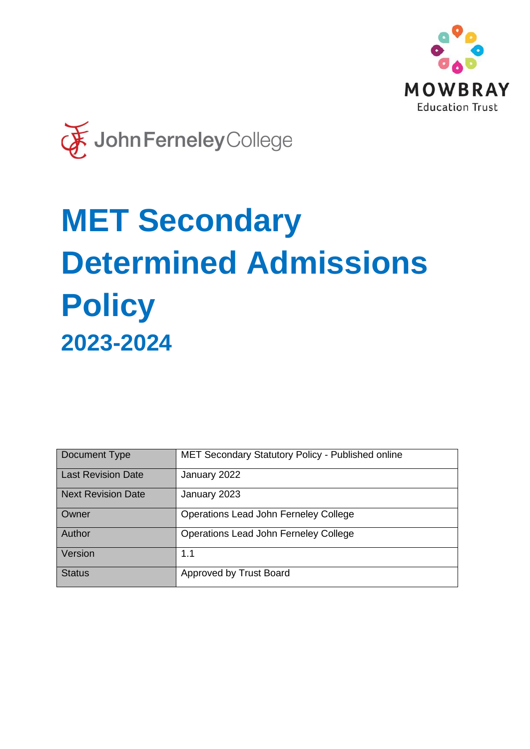



# **MET Secondary Determined Admissions Policy 2023-2024**

| Document Type             | <b>MET Secondary Statutory Policy - Published online</b> |
|---------------------------|----------------------------------------------------------|
| <b>Last Revision Date</b> | January 2022                                             |
| Next Revision Date        | January 2023                                             |
| Owner                     | Operations Lead John Ferneley College                    |
| Author                    | Operations Lead John Ferneley College                    |
| Version                   | 1.1                                                      |
| <b>Status</b>             | Approved by Trust Board                                  |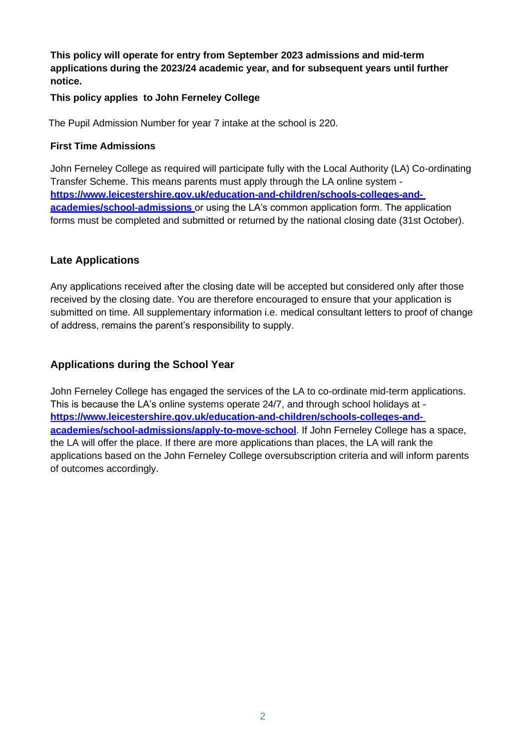**This policy will operate for entry from September 2023 admissions and mid-term applications during the 2023/24 academic year, and for subsequent years until further notice.**

#### **This policy applies to John Ferneley College**

The Pupil Admission Number for year 7 intake at the school is 220.

#### **First Time Admissions**

John Ferneley College as required will participate fully with the Local Authority (LA) Co-ordinating Transfer Scheme. This means parents must apply through the LA online system **[https://www.leicestershire.gov.uk/education-and-children/schools-colleges-and](https://www.leicestershire.gov.uk/education-and-children/schools-colleges-and-academies/school-admissions)[academies/school-admissions](https://www.leicestershire.gov.uk/education-and-children/schools-colleges-and-academies/school-admissions)** or using the LA's common application form. The application forms must be completed and submitted or returned by the national closing date (31st October).

### **Late Applications**

Any applications received after the closing date will be accepted but considered only after those received by the closing date. You are therefore encouraged to ensure that your application is submitted on time. All supplementary information i.e. medical consultant letters to proof of change of address, remains the parent's responsibility to supply.

## **Applications during the School Year**

John Ferneley College has engaged the services of the LA to co-ordinate mid-term applications. This is because the LA's online systems operate 24/7, and through school holidays at **[https://www.leicestershire.gov.uk/education-and-children/schools-colleges-and](https://www.leicestershire.gov.uk/education-and-children/schools-colleges-and-academies/school-admissions/apply-to-move-school)[academies/school-admissions/apply-to-move-school](https://www.leicestershire.gov.uk/education-and-children/schools-colleges-and-academies/school-admissions/apply-to-move-school)**. If John Ferneley College has a space, the LA will offer the place. If there are more applications than places, the LA will rank the applications based on the John Ferneley College oversubscription criteria and will inform parents of outcomes accordingly.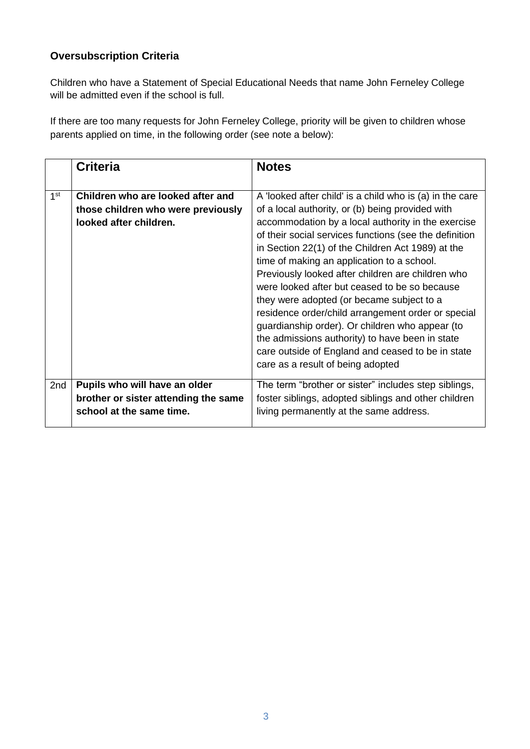## **Oversubscription Criteria**

Children who have a Statement of Special Educational Needs that name John Ferneley College will be admitted even if the school is full.

If there are too many requests for John Ferneley College, priority will be given to children whose parents applied on time, in the following order (see note a below):

|                 | <b>Criteria</b>                                                                                   | <b>Notes</b>                                                                                                                                                                                                                                                                                                                                                                                                                                                                                                                                                                                                                                                                                                                             |
|-----------------|---------------------------------------------------------------------------------------------------|------------------------------------------------------------------------------------------------------------------------------------------------------------------------------------------------------------------------------------------------------------------------------------------------------------------------------------------------------------------------------------------------------------------------------------------------------------------------------------------------------------------------------------------------------------------------------------------------------------------------------------------------------------------------------------------------------------------------------------------|
| 1 <sup>st</sup> | Children who are looked after and<br>those children who were previously<br>looked after children. | A 'looked after child' is a child who is (a) in the care<br>of a local authority, or (b) being provided with<br>accommodation by a local authority in the exercise<br>of their social services functions (see the definition<br>in Section 22(1) of the Children Act 1989) at the<br>time of making an application to a school.<br>Previously looked after children are children who<br>were looked after but ceased to be so because<br>they were adopted (or became subject to a<br>residence order/child arrangement order or special<br>guardianship order). Or children who appear (to<br>the admissions authority) to have been in state<br>care outside of England and ceased to be in state<br>care as a result of being adopted |
| 2nd             | Pupils who will have an older<br>brother or sister attending the same<br>school at the same time. | The term "brother or sister" includes step siblings,<br>foster siblings, adopted siblings and other children<br>living permanently at the same address.                                                                                                                                                                                                                                                                                                                                                                                                                                                                                                                                                                                  |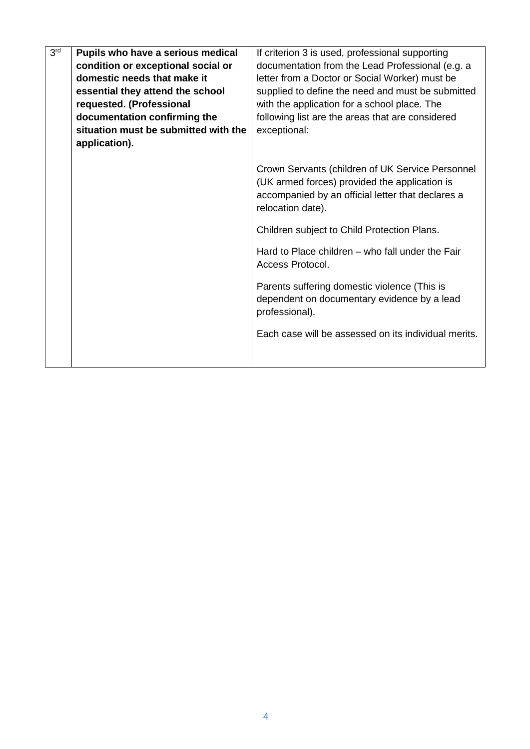| 3 <sup>rd</sup> | Pupils who have a serious medical    | If criterion 3 is used, professional supporting                                                                                                                             |  |  |  |
|-----------------|--------------------------------------|-----------------------------------------------------------------------------------------------------------------------------------------------------------------------------|--|--|--|
|                 | condition or exceptional social or   | documentation from the Lead Professional (e.g. a                                                                                                                            |  |  |  |
|                 | domestic needs that make it          | letter from a Doctor or Social Worker) must be                                                                                                                              |  |  |  |
|                 | essential they attend the school     | supplied to define the need and must be submitted                                                                                                                           |  |  |  |
|                 | requested. (Professional             | with the application for a school place. The                                                                                                                                |  |  |  |
|                 | documentation confirming the         | following list are the areas that are considered                                                                                                                            |  |  |  |
|                 | situation must be submitted with the | exceptional:                                                                                                                                                                |  |  |  |
|                 | application).                        |                                                                                                                                                                             |  |  |  |
|                 |                                      | Crown Servants (children of UK Service Personnel<br>(UK armed forces) provided the application is<br>accompanied by an official letter that declares a<br>relocation date). |  |  |  |
|                 |                                      | Children subject to Child Protection Plans.                                                                                                                                 |  |  |  |
|                 |                                      | Hard to Place children – who fall under the Fair<br>Access Protocol.                                                                                                        |  |  |  |
|                 |                                      | Parents suffering domestic violence (This is<br>dependent on documentary evidence by a lead<br>professional).                                                               |  |  |  |
|                 |                                      | Each case will be assessed on its individual merits.                                                                                                                        |  |  |  |
|                 |                                      |                                                                                                                                                                             |  |  |  |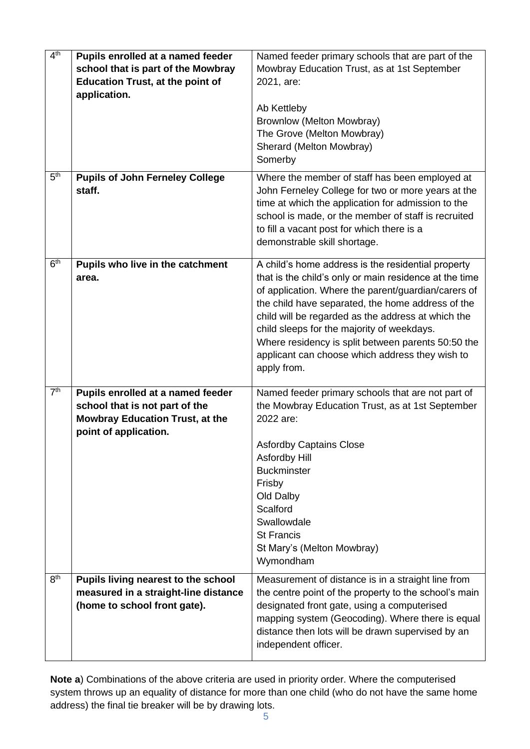| 4 <sup>th</sup> | Pupils enrolled at a named feeder<br>school that is part of the Mowbray<br><b>Education Trust, at the point of</b><br>application.     | Named feeder primary schools that are part of the<br>Mowbray Education Trust, as at 1st September<br>2021, are:<br>Ab Kettleby<br>Brownlow (Melton Mowbray)<br>The Grove (Melton Mowbray)<br>Sherard (Melton Mowbray)<br>Somerby                                                                                                                                                                                                                     |
|-----------------|----------------------------------------------------------------------------------------------------------------------------------------|------------------------------------------------------------------------------------------------------------------------------------------------------------------------------------------------------------------------------------------------------------------------------------------------------------------------------------------------------------------------------------------------------------------------------------------------------|
| 5 <sup>th</sup> | <b>Pupils of John Ferneley College</b><br>staff.                                                                                       | Where the member of staff has been employed at<br>John Ferneley College for two or more years at the<br>time at which the application for admission to the<br>school is made, or the member of staff is recruited<br>to fill a vacant post for which there is a<br>demonstrable skill shortage.                                                                                                                                                      |
| 6 <sup>th</sup> | Pupils who live in the catchment<br>area.                                                                                              | A child's home address is the residential property<br>that is the child's only or main residence at the time<br>of application. Where the parent/guardian/carers of<br>the child have separated, the home address of the<br>child will be regarded as the address at which the<br>child sleeps for the majority of weekdays.<br>Where residency is split between parents 50:50 the<br>applicant can choose which address they wish to<br>apply from. |
| 7 <sup>th</sup> | Pupils enrolled at a named feeder<br>school that is not part of the<br><b>Mowbray Education Trust, at the</b><br>point of application. | Named feeder primary schools that are not part of<br>the Mowbray Education Trust, as at 1st September<br>2022 are:<br><b>Asfordby Captains Close</b><br>Asfordby Hill<br><b>Buckminster</b><br>Frisby<br>Old Dalby<br>Scalford<br>Swallowdale<br><b>St Francis</b><br>St Mary's (Melton Mowbray)<br>Wymondham                                                                                                                                        |
| 8 <sup>th</sup> | Pupils living nearest to the school<br>measured in a straight-line distance<br>(home to school front gate).                            | Measurement of distance is in a straight line from<br>the centre point of the property to the school's main<br>designated front gate, using a computerised<br>mapping system (Geocoding). Where there is equal<br>distance then lots will be drawn supervised by an<br>independent officer.                                                                                                                                                          |

**Note a**) Combinations of the above criteria are used in priority order. Where the computerised system throws up an equality of distance for more than one child (who do not have the same home address) the final tie breaker will be by drawing lots.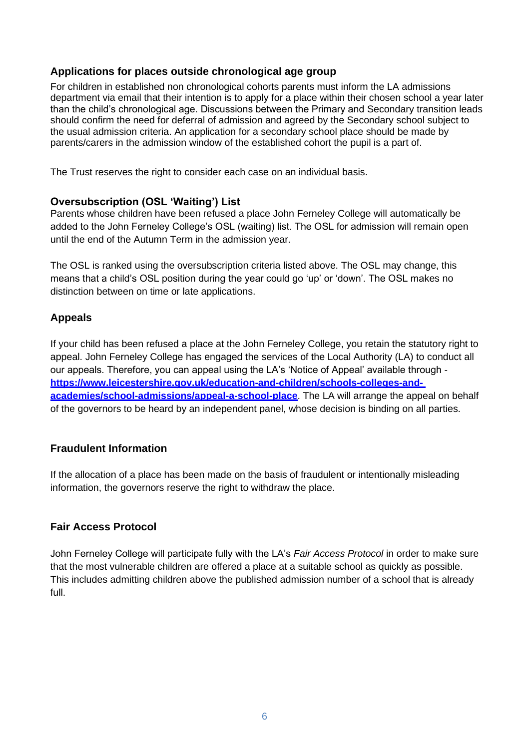#### **Applications for places outside chronological age group**

For children in established non chronological cohorts parents must inform the LA admissions department via email that their intention is to apply for a place within their chosen school a year later than the child's chronological age. Discussions between the Primary and Secondary transition leads should confirm the need for deferral of admission and agreed by the Secondary school subject to the usual admission criteria. An application for a secondary school place should be made by parents/carers in the admission window of the established cohort the pupil is a part of.

The Trust reserves the right to consider each case on an individual basis.

#### **Oversubscription (OSL 'Waiting') List**

Parents whose children have been refused a place John Ferneley College will automatically be added to the John Ferneley College's OSL (waiting) list. The OSL for admission will remain open until the end of the Autumn Term in the admission year.

The OSL is ranked using the oversubscription criteria listed above. The OSL may change, this means that a child's OSL position during the year could go 'up' or 'down'. The OSL makes no distinction between on time or late applications.

## **Appeals**

If your child has been refused a place at the John Ferneley College, you retain the statutory right to appeal. John Ferneley College has engaged the services of the Local Authority (LA) to conduct all our appeals. Therefore, you can appeal using the LA's 'Notice of Appeal' available through **[https://www.leicestershire.gov.uk/education-and-children/schools-colleges-and](https://www.leicestershire.gov.uk/education-and-children/schools-colleges-and-academies/school-admissions/appeal-a-school-place)[academies/school-admissions/appeal-a-school-place](https://www.leicestershire.gov.uk/education-and-children/schools-colleges-and-academies/school-admissions/appeal-a-school-place)**. The LA will arrange the appeal on behalf of the governors to be heard by an independent panel, whose decision is binding on all parties.

## **Fraudulent Information**

If the allocation of a place has been made on the basis of fraudulent or intentionally misleading information, the governors reserve the right to withdraw the place.

## **Fair Access Protocol**

John Ferneley College will participate fully with the LA's *Fair Access Protocol* in order to make sure that the most vulnerable children are offered a place at a suitable school as quickly as possible. This includes admitting children above the published admission number of a school that is already full.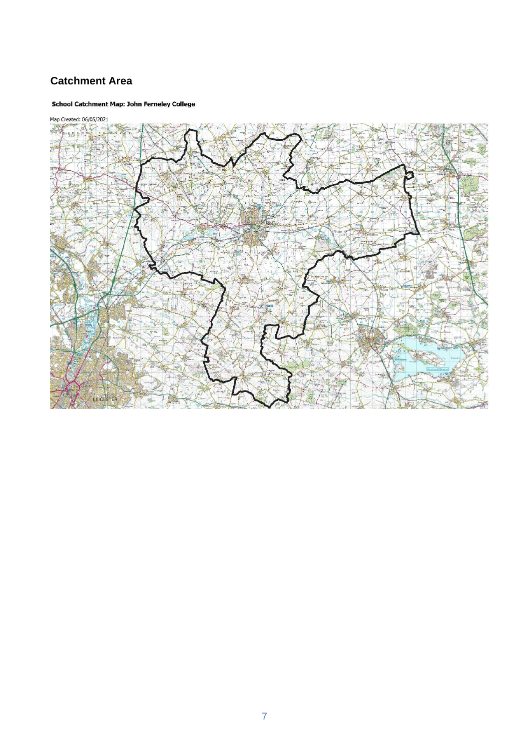## **Catchment Area**

#### **School Catchment Map: John Ferneley College**



7